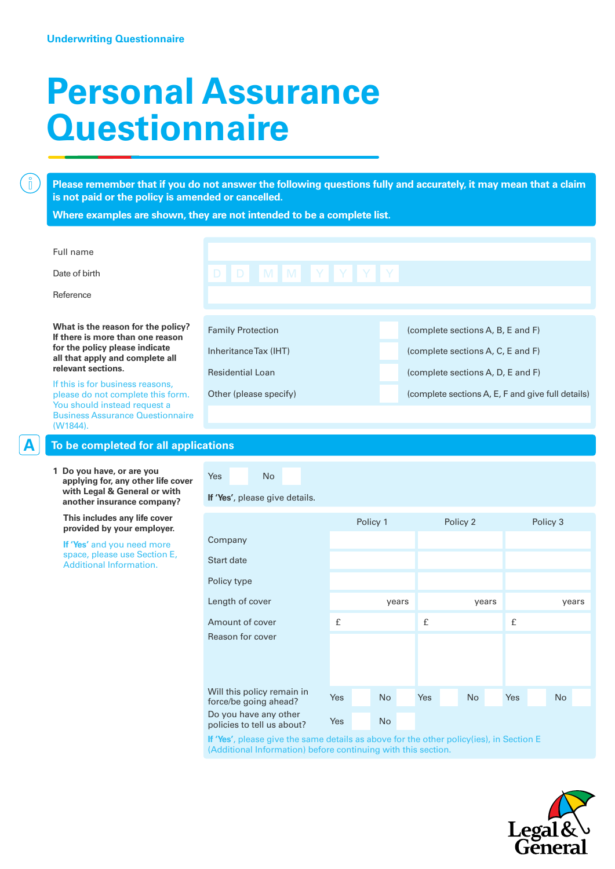$\left[\begin{matrix} 0 \\ 1 \end{matrix}\right]$ 

## **Personal Assurance Questionnaire**

**Please remember that if you do not answer the following questions fully and accurately, it may mean that a claim is not paid or the policy is amended or cancelled.**

**Where examples are shown, they are not intended to be a complete list.**

| Full name<br>Date of birth<br>Reference                                                                                                                                                                                                                                                                                              | D D M M Y Y Y Y Y                                                                                      |                                                                                                                                                                  |
|--------------------------------------------------------------------------------------------------------------------------------------------------------------------------------------------------------------------------------------------------------------------------------------------------------------------------------------|--------------------------------------------------------------------------------------------------------|------------------------------------------------------------------------------------------------------------------------------------------------------------------|
| What is the reason for the policy?<br>If there is more than one reason<br>for the policy please indicate<br>all that apply and complete all<br>relevant sections.<br>If this is for business reasons,<br>please do not complete this form.<br>You should instead request a<br><b>Business Assurance Questionnaire</b><br>$(W1844)$ . | <b>Family Protection</b><br>Inheritance Tax (IHT)<br><b>Residential Loan</b><br>Other (please specify) | (complete sections A, B, E and F)<br>(complete sections A, C, E and F)<br>(complete sections A, D, E and F)<br>(complete sections A, E, F and give full details) |
| To be completed for all applications                                                                                                                                                                                                                                                                                                 |                                                                                                        |                                                                                                                                                                  |

**1 Do you have, or are you applying for, any other life cover with Legal & General or with another insurance company?**

 **This includes any life cover provided by your employer.**

 **If 'Yes'** and you need more space, please use Section E, Additional Information.

**If 'Yes'**, please give details.

Yes No

|                                                     | Policy 1 |  |           | Policy 2 |     |  |           | Policy 3 |     |  |           |  |
|-----------------------------------------------------|----------|--|-----------|----------|-----|--|-----------|----------|-----|--|-----------|--|
| Company                                             |          |  |           |          |     |  |           |          |     |  |           |  |
| Start date                                          |          |  |           |          |     |  |           |          |     |  |           |  |
| Policy type                                         |          |  |           |          |     |  |           |          |     |  |           |  |
| Length of cover                                     |          |  |           | years    |     |  |           | years    |     |  | years     |  |
| Amount of cover                                     | £        |  |           |          | £   |  |           |          | £   |  |           |  |
| Reason for cover                                    |          |  |           |          |     |  |           |          |     |  |           |  |
| Will this policy remain in<br>force/be going ahead? | Yes      |  | <b>No</b> |          | Yes |  | <b>No</b> |          | Yes |  | <b>No</b> |  |
| Do you have any other<br>policies to tell us about? | Yes      |  | <b>No</b> |          |     |  |           |          |     |  |           |  |
|                                                     |          |  |           |          |     |  |           |          |     |  |           |  |

**If 'Yes'**, please give the same details as above for the other policy(ies), in Section E (Additional Information) before continuing with this section.

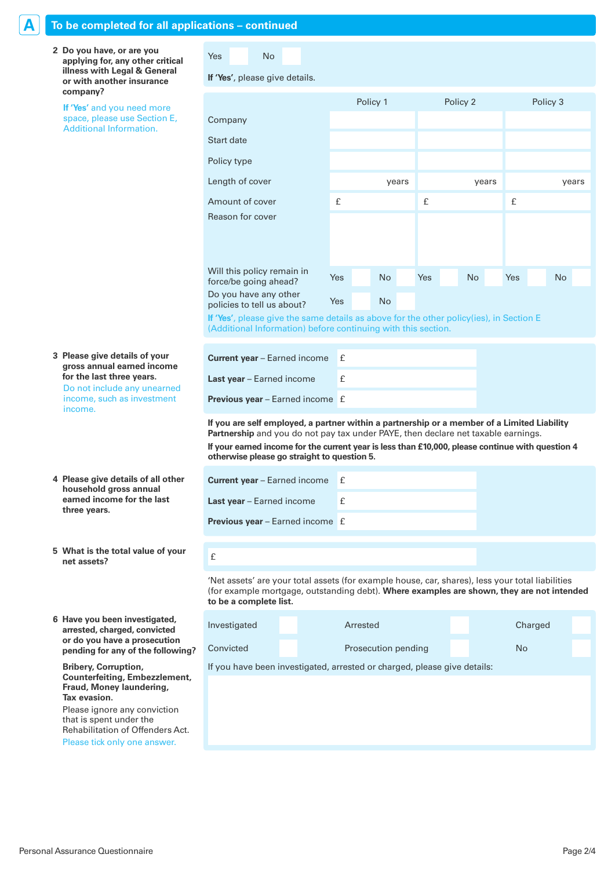| To be completed for all applications - continued                                                                                                                           |                                                                                                                                                                                                                                                                                                                                     |                     |           |  |           |  |           |       |           |
|----------------------------------------------------------------------------------------------------------------------------------------------------------------------------|-------------------------------------------------------------------------------------------------------------------------------------------------------------------------------------------------------------------------------------------------------------------------------------------------------------------------------------|---------------------|-----------|--|-----------|--|-----------|-------|-----------|
| 2 Do you have, or are you<br>applying for, any other critical<br>illness with Legal & General<br>or with another insurance                                                 | <b>Yes</b><br><b>No</b><br>If 'Yes', please give details.                                                                                                                                                                                                                                                                           |                     |           |  |           |  |           |       |           |
| company?<br>If 'Yes' and you need more                                                                                                                                     |                                                                                                                                                                                                                                                                                                                                     | Policy 1            |           |  | Policy 3  |  |           |       |           |
| space, please use Section E,                                                                                                                                               | Company                                                                                                                                                                                                                                                                                                                             |                     |           |  |           |  |           |       |           |
| <b>Additional Information.</b>                                                                                                                                             | Start date                                                                                                                                                                                                                                                                                                                          |                     |           |  |           |  |           |       |           |
|                                                                                                                                                                            | Policy type                                                                                                                                                                                                                                                                                                                         |                     |           |  |           |  |           |       |           |
|                                                                                                                                                                            | Length of cover                                                                                                                                                                                                                                                                                                                     |                     | years     |  |           |  | years     | years |           |
|                                                                                                                                                                            | Amount of cover                                                                                                                                                                                                                                                                                                                     | £                   |           |  | £         |  |           | £     |           |
|                                                                                                                                                                            | Reason for cover                                                                                                                                                                                                                                                                                                                    |                     |           |  |           |  |           |       |           |
|                                                                                                                                                                            | Will this policy remain in<br>force/be going ahead?                                                                                                                                                                                                                                                                                 | Yes                 | <b>No</b> |  | Yes       |  | <b>No</b> | Yes   | <b>No</b> |
|                                                                                                                                                                            | Do you have any other<br>policies to tell us about?                                                                                                                                                                                                                                                                                 | Yes                 | <b>No</b> |  |           |  |           |       |           |
|                                                                                                                                                                            | If 'Yes', please give the same details as above for the other policy(ies), in Section E<br>(Additional Information) before continuing with this section.                                                                                                                                                                            |                     |           |  |           |  |           |       |           |
| 3 Please give details of your<br>gross annual earned income                                                                                                                | Current year - Earned income                                                                                                                                                                                                                                                                                                        | £                   |           |  |           |  |           |       |           |
| for the last three years.                                                                                                                                                  | Last year - Earned income                                                                                                                                                                                                                                                                                                           | £                   |           |  |           |  |           |       |           |
| Do not include any unearned<br>income, such as investment<br>income.                                                                                                       | Previous year - Earned income £                                                                                                                                                                                                                                                                                                     |                     |           |  |           |  |           |       |           |
|                                                                                                                                                                            | If you are self employed, a partner within a partnership or a member of a Limited Liability<br>Partnership and you do not pay tax under PAYE, then declare net taxable earnings.<br>If your earned income for the current year is less than £10,000, please continue with question 4<br>otherwise please go straight to question 5. |                     |           |  |           |  |           |       |           |
| 4 Please give details of all other                                                                                                                                         | Current year - Earned income                                                                                                                                                                                                                                                                                                        | £                   |           |  |           |  |           |       |           |
| household gross annual<br>earned income for the last                                                                                                                       | Last year - Earned income                                                                                                                                                                                                                                                                                                           | £                   |           |  |           |  |           |       |           |
| three years.                                                                                                                                                               | <b>Previous year</b> – Earned income £                                                                                                                                                                                                                                                                                              |                     |           |  |           |  |           |       |           |
| 5 What is the total value of your<br>net assets?                                                                                                                           | $\pounds$                                                                                                                                                                                                                                                                                                                           |                     |           |  |           |  |           |       |           |
|                                                                                                                                                                            | 'Net assets' are your total assets (for example house, car, shares), less your total liabilities<br>(for example mortgage, outstanding debt). Where examples are shown, they are not intended<br>to be a complete list.                                                                                                             |                     |           |  |           |  |           |       |           |
| 6 Have you been investigated,<br>arrested, charged, convicted                                                                                                              | Investigated                                                                                                                                                                                                                                                                                                                        |                     | Arrested  |  |           |  | Charged   |       |           |
| or do you have a prosecution<br>pending for any of the following?                                                                                                          | Convicted                                                                                                                                                                                                                                                                                                                           | Prosecution pending |           |  | <b>No</b> |  |           |       |           |
| <b>Bribery, Corruption,</b><br><b>Counterfeiting, Embezzlement,</b><br>Fraud, Money laundering,<br>Tax evasion.<br>Please ignore any conviction<br>that is spent under the | If you have been investigated, arrested or charged, please give details:                                                                                                                                                                                                                                                            |                     |           |  |           |  |           |       |           |
| Rehabilitation of Offenders Act.<br>Please tick only one answer.                                                                                                           |                                                                                                                                                                                                                                                                                                                                     |                     |           |  |           |  |           |       |           |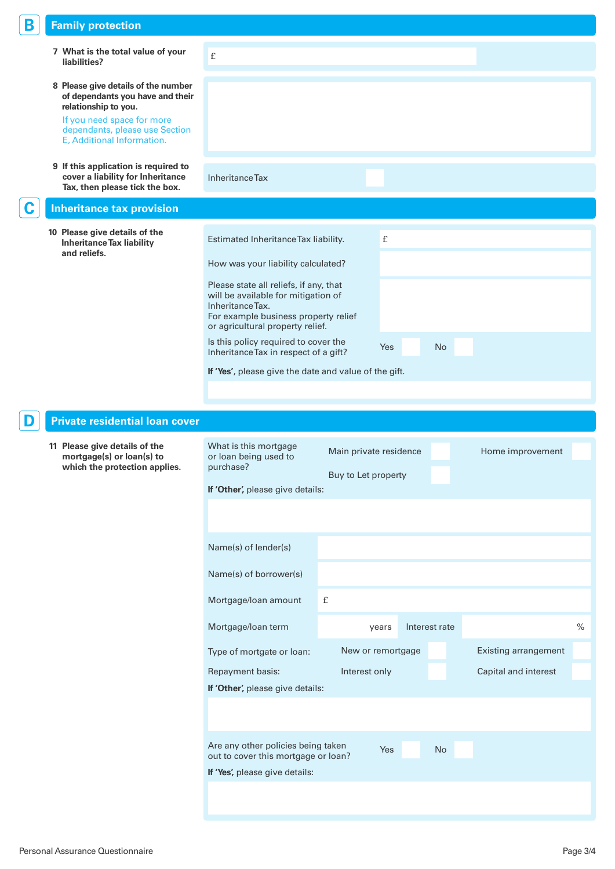| Β | <b>Family protection</b>                                                                                    |                                                                                                                                           |                        |            |               |                             |      |
|---|-------------------------------------------------------------------------------------------------------------|-------------------------------------------------------------------------------------------------------------------------------------------|------------------------|------------|---------------|-----------------------------|------|
|   | 7 What is the total value of your<br>liabilities?                                                           | £                                                                                                                                         |                        |            |               |                             |      |
|   | 8 Please give details of the number<br>of dependants you have and their<br>relationship to you.             |                                                                                                                                           |                        |            |               |                             |      |
|   | If you need space for more<br>dependants, please use Section<br>E, Additional Information.                  |                                                                                                                                           |                        |            |               |                             |      |
|   | 9 If this application is required to<br>cover a liability for Inheritance<br>Tax, then please tick the box. | <b>Inheritance Tax</b>                                                                                                                    |                        |            |               |                             |      |
|   | <b>Inheritance tax provision</b>                                                                            |                                                                                                                                           |                        |            |               |                             |      |
|   | 10 Please give details of the<br><b>Inheritance Tax liability</b><br>and reliefs.                           | Estimated Inheritance Tax liability.                                                                                                      |                        | £          |               |                             |      |
|   |                                                                                                             | How was your liability calculated?                                                                                                        |                        |            |               |                             |      |
|   |                                                                                                             | Please state all reliefs, if any, that<br>will be available for mitigation of<br>Inheritance Tax.<br>For example business property relief |                        |            |               |                             |      |
|   |                                                                                                             | or agricultural property relief.<br>Is this policy required to cover the                                                                  |                        |            |               |                             |      |
|   |                                                                                                             | Inheritance Tax in respect of a gift?                                                                                                     |                        | <b>Yes</b> | No            |                             |      |
|   |                                                                                                             | If 'Yes', please give the date and value of the gift.                                                                                     |                        |            |               |                             |      |
|   |                                                                                                             |                                                                                                                                           |                        |            |               |                             |      |
|   |                                                                                                             |                                                                                                                                           |                        |            |               |                             |      |
|   | <b>Private residential loan cover</b>                                                                       |                                                                                                                                           |                        |            |               |                             |      |
|   | 11 Please give details of the<br>mortgage(s) or loan(s) to<br>which the protection applies.                 | What is this mortgage<br>or loan being used to<br>purchase?                                                                               | Main private residence |            |               | Home improvement            |      |
|   |                                                                                                             | If 'Other', please give details:                                                                                                          | Buy to Let property    |            |               |                             |      |
|   |                                                                                                             |                                                                                                                                           |                        |            |               |                             |      |
|   |                                                                                                             | Name(s) of lender(s)                                                                                                                      |                        |            |               |                             |      |
|   |                                                                                                             | Name(s) of borrower(s)                                                                                                                    |                        |            |               |                             |      |
|   |                                                                                                             | Mortgage/loan amount                                                                                                                      | $\pounds$              |            |               |                             |      |
|   |                                                                                                             | Mortgage/loan term                                                                                                                        | years                  |            | Interest rate |                             | $\%$ |
|   |                                                                                                             | Type of mortgate or loan:                                                                                                                 | New or remortgage      |            |               | <b>Existing arrangement</b> |      |
|   |                                                                                                             | Repayment basis:                                                                                                                          | Interest only          |            |               | Capital and interest        |      |
|   |                                                                                                             | If 'Other', please give details:                                                                                                          |                        |            |               |                             |      |
|   |                                                                                                             |                                                                                                                                           |                        |            |               |                             |      |
|   |                                                                                                             | Are any other policies being taken                                                                                                        |                        | Yes        | No            |                             |      |
|   |                                                                                                             | out to cover this mortgage or loan?<br>If 'Yes', please give details:                                                                     |                        |            |               |                             |      |